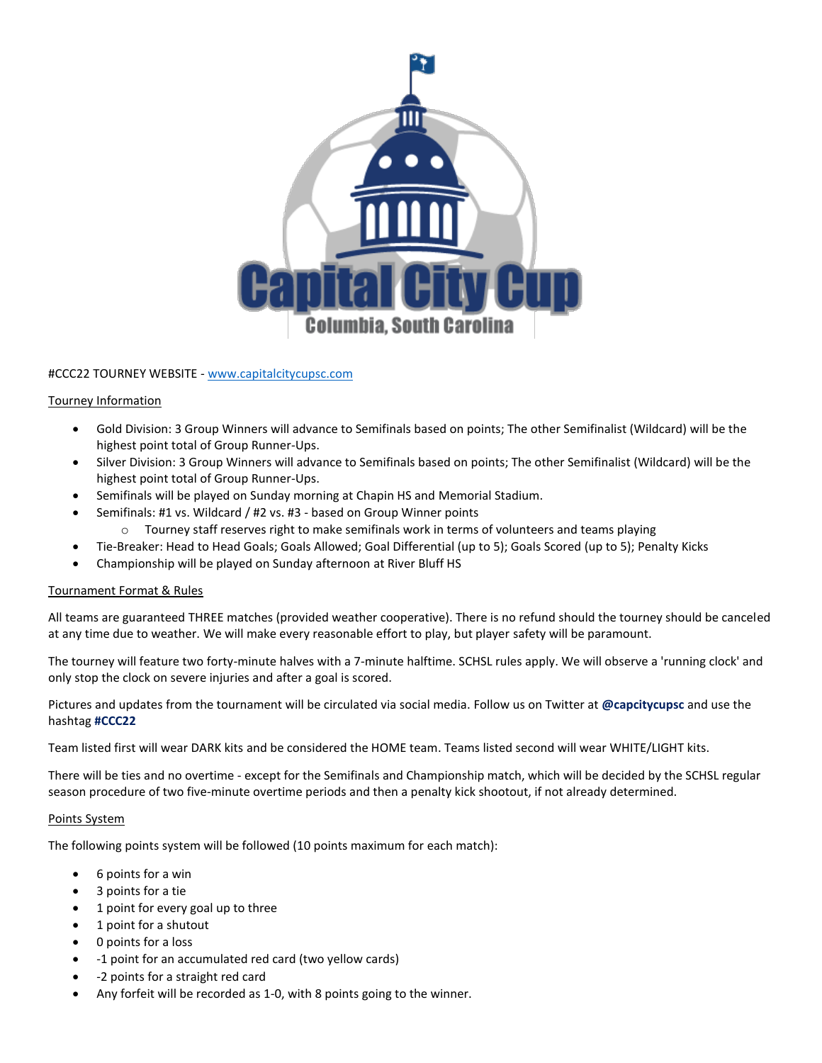

### #CCC22 TOURNEY WEBSITE - [www.capitalcitycupsc.com](http://www.capitalcitycupsc.com/)

#### Tourney Information

- Gold Division: 3 Group Winners will advance to Semifinals based on points; The other Semifinalist (Wildcard) will be the highest point total of Group Runner-Ups.
- Silver Division: 3 Group Winners will advance to Semifinals based on points; The other Semifinalist (Wildcard) will be the highest point total of Group Runner-Ups.
- Semifinals will be played on Sunday morning at Chapin HS and Memorial Stadium.
- Semifinals: #1 vs. Wildcard / #2 vs. #3 based on Group Winner points
	- o Tourney staff reserves right to make semifinals work in terms of volunteers and teams playing
	- Tie-Breaker: Head to Head Goals; Goals Allowed; Goal Differential (up to 5); Goals Scored (up to 5); Penalty Kicks
- Championship will be played on Sunday afternoon at River Bluff HS

# Tournament Format & Rules

All teams are guaranteed THREE matches (provided weather cooperative). There is no refund should the tourney should be canceled at any time due to weather. We will make every reasonable effort to play, but player safety will be paramount.

The tourney will feature two forty-minute halves with a 7-minute halftime. SCHSL rules apply. We will observe a 'running clock' and only stop the clock on severe injuries and after a goal is scored.

Pictures and updates from the tournament will be circulated via social media. Follow us on Twitter at **@capcitycupsc** and use the hashtag **#CCC22**

Team listed first will wear DARK kits and be considered the HOME team. Teams listed second will wear WHITE/LIGHT kits.

There will be ties and no overtime - except for the Semifinals and Championship match, which will be decided by the SCHSL regular season procedure of two five-minute overtime periods and then a penalty kick shootout, if not already determined.

# Points System

The following points system will be followed (10 points maximum for each match):

- 6 points for a win
- 3 points for a tie
- 1 point for every goal up to three
- 1 point for a shutout
- 0 points for a loss
- -1 point for an accumulated red card (two yellow cards)
- -2 points for a straight red card
- Any forfeit will be recorded as 1-0, with 8 points going to the winner.